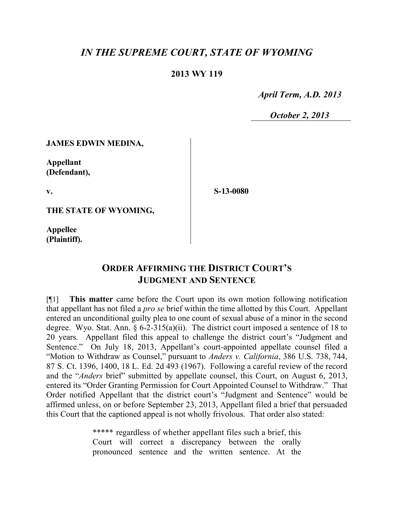# *IN THE SUPREME COURT, STATE OF WYOMING*

### **2013 WY 119**

 *April Term, A.D. 2013*

 *October 2, 2013*

### **JAMES EDWIN MEDINA,**

**Appellant (Defendant),**

**v.**

**S-13-0080**

**THE STATE OF WYOMING,**

**Appellee (Plaintiff).**

# **ORDER AFFIRMING THE DISTRICT COURT'S JUDGMENT AND SENTENCE**

[¶1] **This matter** came before the Court upon its own motion following notification that appellant has not filed a *pro se* brief within the time allotted by this Court. Appellant entered an unconditional guilty plea to one count of sexual abuse of a minor in the second degree. Wyo. Stat. Ann.  $\S 6$ -2-315(a)(ii). The district court imposed a sentence of 18 to 20 years. Appellant filed this appeal to challenge the district court's "Judgment and Sentence." On July 18, 2013, Appellant's court-appointed appellate counsel filed a "Motion to Withdraw as Counsel," pursuant to *Anders v. California*, 386 U.S. 738, 744, 87 S. Ct. 1396, 1400, 18 L. Ed. 2d 493 (1967). Following a careful review of the record and the "*Anders* brief" submitted by appellate counsel, this Court, on August 6, 2013, entered its "Order Granting Permission for Court Appointed Counsel to Withdraw." That Order notified Appellant that the district court's "Judgment and Sentence" would be affirmed unless, on or before September 23, 2013, Appellant filed a brief that persuaded this Court that the captioned appeal is not wholly frivolous. That order also stated:

> \*\*\*\*\* regardless of whether appellant files such a brief, this Court will correct a discrepancy between the orally pronounced sentence and the written sentence. At the